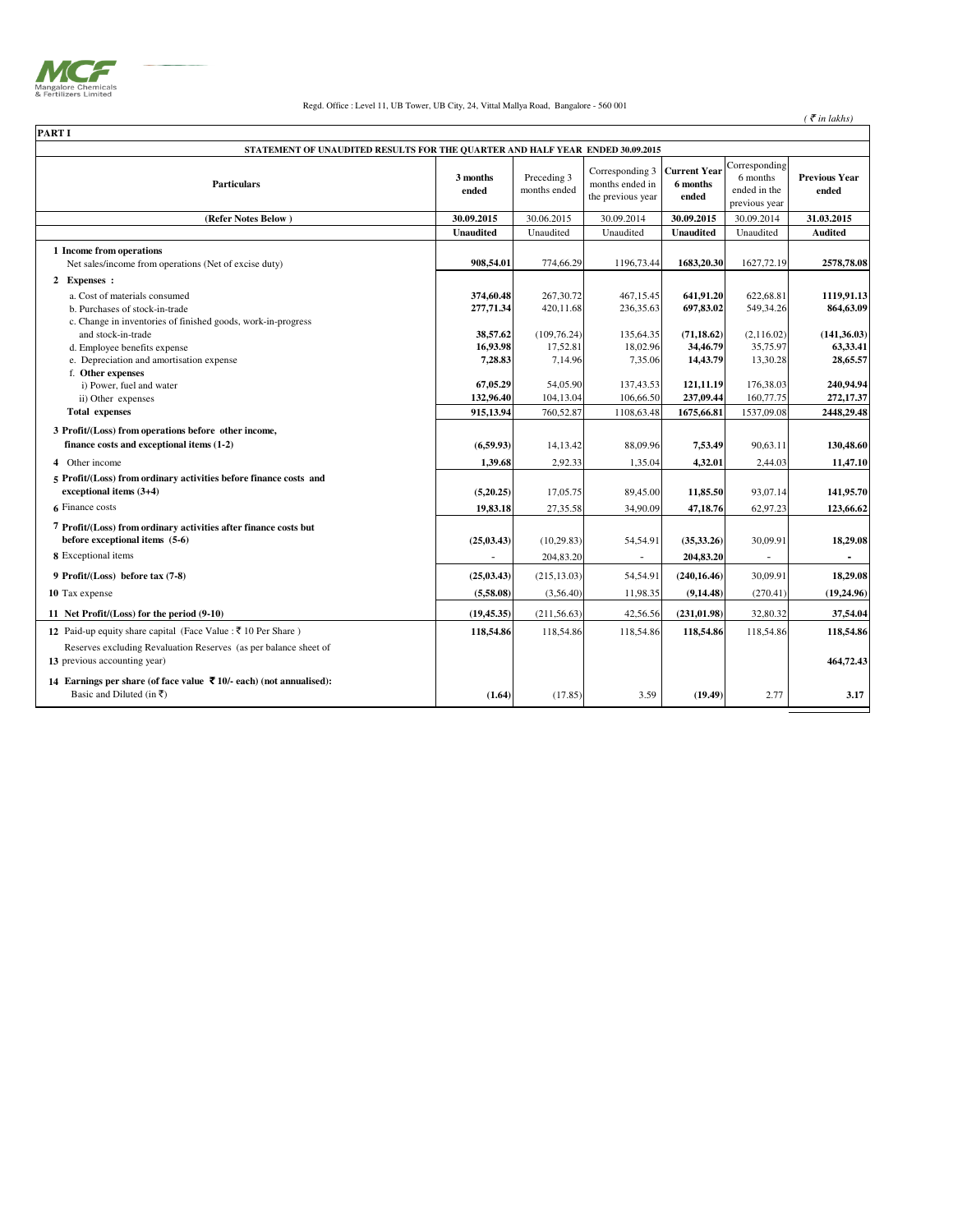

## Regd. Office : Level 11, UB Tower, UB City, 24, Vittal Mallya Road, Bangalore - 560 001

 $($   $\bar{\mathfrak{e}}$  *in lakhs* $)$ 

| <b>PART I</b>                                                                                                                   |                                    |                                     |                                                         |                                          |                                                            |                                      |
|---------------------------------------------------------------------------------------------------------------------------------|------------------------------------|-------------------------------------|---------------------------------------------------------|------------------------------------------|------------------------------------------------------------|--------------------------------------|
| STATEMENT OF UNAUDITED RESULTS FOR THE QUARTER AND HALF YEAR ENDED 30.09.2015                                                   |                                    |                                     |                                                         |                                          |                                                            |                                      |
| <b>Particulars</b>                                                                                                              | 3 months<br>ended                  | Preceding 3<br>months ended         | Corresponding 3<br>months ended in<br>the previous year | <b>Current Year</b><br>6 months<br>ended | Corresponding<br>6 months<br>ended in the<br>previous year | <b>Previous Year</b><br>ended        |
| (Refer Notes Below)                                                                                                             | 30.09.2015                         | 30.06.2015                          | 30.09.2014                                              | 30.09.2015                               | 30.09.2014                                                 | 31.03.2015                           |
|                                                                                                                                 | <b>Unaudited</b>                   | Unaudited                           | Unaudited                                               | <b>Unaudited</b>                         | Unaudited                                                  | <b>Audited</b>                       |
| 1 Income from operations<br>Net sales/income from operations (Net of excise duty)                                               | 908,54.01                          | 774,66.29                           | 1196,73.44                                              | 1683,20.30                               | 1627,72.19                                                 | 2578,78.08                           |
| 2 Expenses :                                                                                                                    |                                    |                                     |                                                         |                                          |                                                            |                                      |
| a. Cost of materials consumed<br>b. Purchases of stock-in-trade<br>c. Change in inventories of finished goods, work-in-progress | 374,60.48<br>277,71.34             | 267,30.72<br>420,11.68              | 467,15.45<br>236,35.63                                  | 641,91.20<br>697,83.02                   | 622,68.81<br>549,34.26                                     | 1119,91.13<br>864,63.09              |
| and stock-in-trade<br>d. Employee benefits expense<br>e. Depreciation and amortisation expense                                  | 38,57.62<br>16,93.98<br>7,28.83    | (109, 76.24)<br>17,52.81<br>7,14.96 | 135,64.35<br>18,02.96<br>7,35.06                        | (71, 18.62)<br>34,46.79<br>14,43.79      | (2,116.02)<br>35,75.97<br>13,30.28                         | (141, 36.03)<br>63,33.41<br>28,65.57 |
| f. Other expenses<br>i) Power, fuel and water<br>ii) Other expenses<br><b>Total expenses</b>                                    | 67,05.29<br>132,96.40<br>915,13.94 | 54,05.90<br>104,13.04<br>760,52.87  | 137,43.53<br>106,66.50<br>1108,63.48                    | 121,11.19<br>237,09.44<br>1675,66.81     | 176,38.03<br>160,77.75<br>1537,09.08                       | 240,94.94<br>272,17.37<br>2448,29.48 |
| 3 Profit/(Loss) from operations before other income,<br>finance costs and exceptional items (1-2)                               | (6,59.93)                          | 14,13.42                            | 88,09.96                                                | 7,53.49                                  | 90,63.11                                                   | 130,48.60                            |
| 4 Other income                                                                                                                  | 1,39.68                            | 2,92.33                             | 1,35.04                                                 | 4,32.01                                  | 2,44.03                                                    | 11,47.10                             |
| 5 Profit/(Loss) from ordinary activities before finance costs and<br>exceptional items (3+4)                                    | (5,20.25)                          | 17,05.75                            | 89,45.00                                                | 11,85.50                                 | 93,07.14                                                   | 141,95.70                            |
| 6 Finance costs                                                                                                                 | 19,83.18                           | 27,35.58                            | 34,90.09                                                | 47,18.76                                 | 62,97.23                                                   | 123,66.62                            |
| 7 Profit/(Loss) from ordinary activities after finance costs but<br>before exceptional items (5-6)                              | (25, 03, 43)                       | (10, 29.83)                         | 54,54.91                                                | (35,33.26)                               | 30,09.91                                                   | 18,29.08                             |
| 8 Exceptional items                                                                                                             |                                    | 204,83.20                           |                                                         | 204,83.20                                |                                                            |                                      |
| 9 Profit/(Loss) before tax (7-8)                                                                                                | (25, 03.43)                        | (215, 13.03)                        | 54,54.91                                                | (240, 16.46)                             | 30,09.91                                                   | 18,29.08                             |
| 10 Tax expense                                                                                                                  | (5,58.08)                          | (3,56.40)                           | 11,98.35                                                | (9, 14.48)                               | (270.41)                                                   | (19,24.96)                           |
| 11 Net Profit/(Loss) for the period (9-10)                                                                                      | (19, 45.35)                        | (211, 56.63)                        | 42,56.56                                                | (231, 01.98)                             | 32,80.32                                                   | 37,54.04                             |
| 12 Paid-up equity share capital (Face Value : ₹ 10 Per Share)                                                                   | 118,54.86                          | 118,54.86                           | 118,54.86                                               | 118,54.86                                | 118,54.86                                                  | 118,54.86                            |
| Reserves excluding Revaluation Reserves (as per balance sheet of<br>13 previous accounting year)                                |                                    |                                     |                                                         |                                          |                                                            | 464,72.43                            |
| 14 Earnings per share (of face value ₹ 10/- each) (not annualised):<br>Basic and Diluted (in ₹)                                 | (1.64)                             | (17.85)                             | 3.59                                                    | (19.49)                                  | 2.77                                                       | 3.17                                 |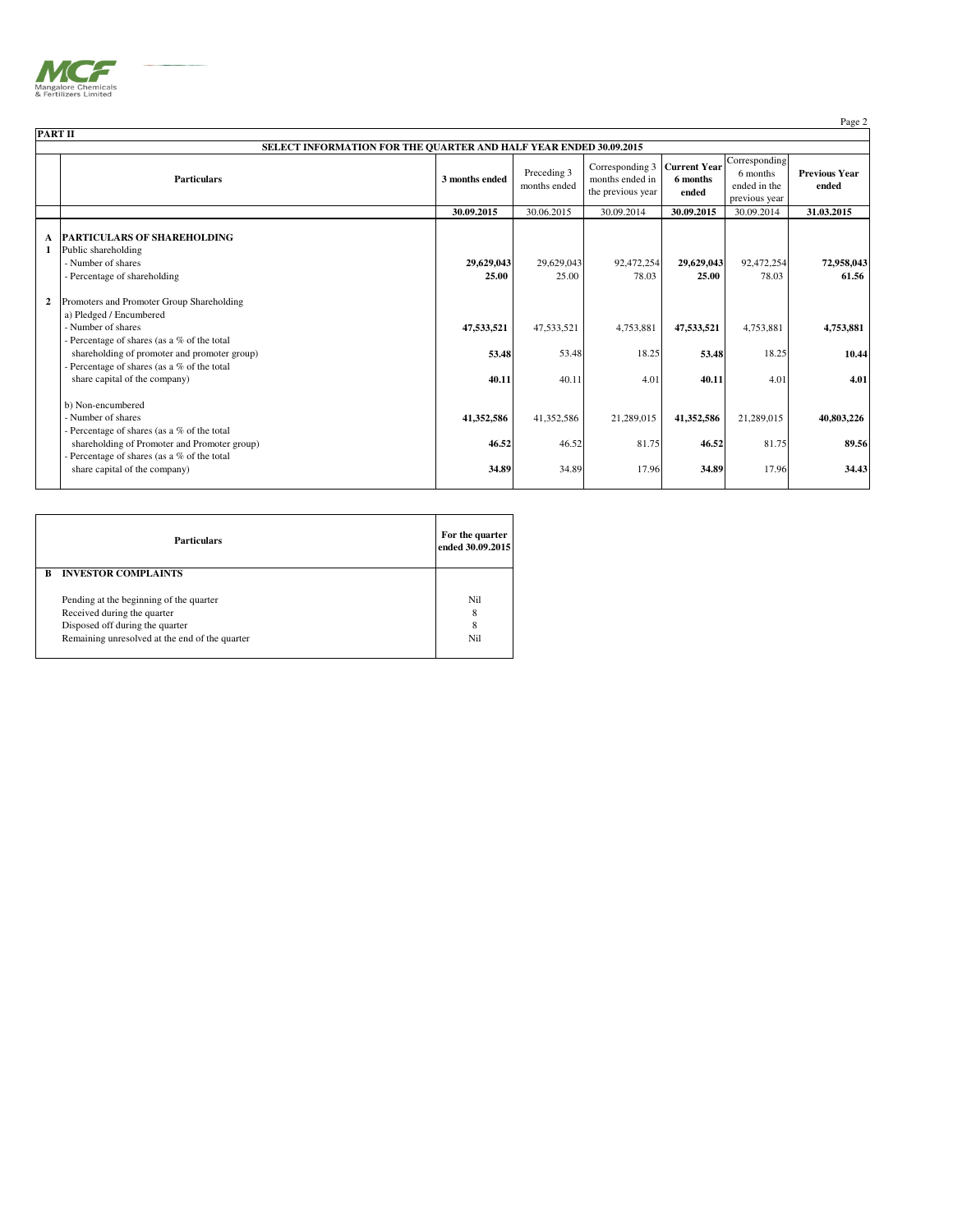

| PART II                                                                                                                                                                                                              |                                    |                             |                                                         |                              |                                           |                                                                                    |  |
|----------------------------------------------------------------------------------------------------------------------------------------------------------------------------------------------------------------------|------------------------------------|-----------------------------|---------------------------------------------------------|------------------------------|-------------------------------------------|------------------------------------------------------------------------------------|--|
| SELECT INFORMATION FOR THE QUARTER AND HALF YEAR ENDED 30.09.2015                                                                                                                                                    |                                    |                             |                                                         |                              |                                           |                                                                                    |  |
| <b>Particulars</b>                                                                                                                                                                                                   | 3 months ended                     | Preceding 3<br>months ended | Corresponding 3<br>months ended in<br>the previous year | 6 months<br>ended            | 6 months<br>ended in the<br>previous year | <b>Previous Year</b><br>ended                                                      |  |
|                                                                                                                                                                                                                      | 30.09.2015                         | 30.06.2015                  | 30.09.2014                                              | 30.09.2015                   | 30.09.2014                                | 31.03.2015                                                                         |  |
| Public shareholding<br>- Number of shares<br>- Percentage of shareholding                                                                                                                                            | 25.00                              | 25.00                       | 78.03                                                   | 25.00                        | 78.03                                     | 72,958,043<br>61.56                                                                |  |
| Promoters and Promoter Group Shareholding<br>a) Pledged / Encumbered<br>- Number of shares                                                                                                                           | 47,533,521                         | 47,533,521                  | 4,753,881                                               | 47,533,521                   | 4,753,881                                 | 4,753,881                                                                          |  |
| Percentage of shares (as a % of the total<br>shareholding of promoter and promoter group)<br>Percentage of shares (as a % of the total<br>share capital of the company)                                              | 40.11                              | 40.11                       | 4.01                                                    | 40.11                        | 18.25<br>4.01                             | 10.44<br>4.01                                                                      |  |
| b) Non-encumbered<br>- Number of shares<br>- Percentage of shares (as a % of the total<br>shareholding of Promoter and Promoter group)<br>Percentage of shares (as a % of the total<br>share capital of the company) | 41,352,586                         | 41,352,586<br>46.52         | 21,289,015                                              | 41,352,586<br>34.89          | 21,289,015<br>81.75<br>17.96              | 40,803,226<br>89.56<br>34.43                                                       |  |
|                                                                                                                                                                                                                      | <b>PARTICULARS OF SHAREHOLDING</b> |                             | 29,629,043<br>53.48<br>46.52<br>34.89                   | 29,629,043<br>53.48<br>34.89 | 92,472,254<br>18.25<br>81.75<br>17.96     | Corresponding<br><b>Current Year</b><br>29,629,043<br>92,472,254<br>53.48<br>46.52 |  |

|   | <b>Particulars</b>                             | For the quarter<br>ended 30.09.2015 |
|---|------------------------------------------------|-------------------------------------|
| R | <b>INVESTOR COMPLAINTS</b>                     |                                     |
|   |                                                |                                     |
|   | Pending at the beginning of the quarter        | Nil                                 |
|   | Received during the quarter                    | 8                                   |
|   | Disposed off during the quarter                | 8                                   |
|   | Remaining unresolved at the end of the quarter | Nil                                 |
|   |                                                |                                     |

Page 2